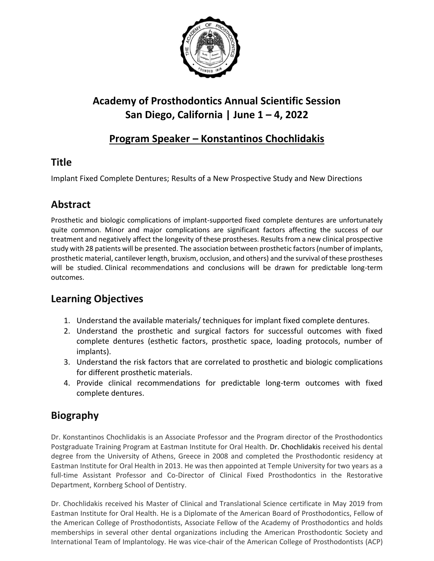

# **Academy of Prosthodontics Annual Scientific Session San Diego, California | June 1 – 4, 2022**

#### **Program Speaker – Konstantinos Chochlidakis**

### **Title**

Implant Fixed Complete Dentures; Results of a New Prospective Study and New Directions

### **Abstract**

Prosthetic and biologic complications of implant-supported fixed complete dentures are unfortunately quite common. Minor and major complications are significant factors affecting the success of our treatment and negatively affect the longevity of these prostheses. Results from a new clinical prospective study with 28 patients will be presented. The association between prosthetic factors (number of implants, prosthetic material, cantilever length, bruxism, occlusion, and others) and the survival of these prostheses will be studied. Clinical recommendations and conclusions will be drawn for predictable long-term outcomes.

## **Learning Objectives**

- 1. Understand the available materials/ techniques for implant fixed complete dentures.
- 2. Understand the prosthetic and surgical factors for successful outcomes with fixed complete dentures (esthetic factors, prosthetic space, loading protocols, number of implants).
- 3. Understand the risk factors that are correlated to prosthetic and biologic complications for different prosthetic materials.
- 4. Provide clinical recommendations for predictable long-term outcomes with fixed complete dentures.

## **Biography**

Dr. Konstantinos Chochlidakis is an Associate Professor and the Program director of the Prosthodontics Postgraduate Training Program at Eastman Institute for Oral Health. Dr. Chochlidakis received his dental degree from the University of Athens, Greece in 2008 and completed the Prosthodontic residency at Eastman Institute for Oral Health in 2013. He was then appointed at Temple University for two years as a full-time Assistant Professor and Co-Director of Clinical Fixed Prosthodontics in the Restorative Department, Kornberg School of Dentistry.

Dr. Chochlidakis received his Master of Clinical and Translational Science certificate in May 2019 from Eastman Institute for Oral Health. He is a Diplomate of the American Board of Prosthodontics, Fellow of the American College of Prosthodontists, Associate Fellow of the Academy of Prosthodontics and holds memberships in several other dental organizations including the American Prosthodontic Society and International Team of Implantology. He was vice-chair of the American College of Prosthodontists (ACP)